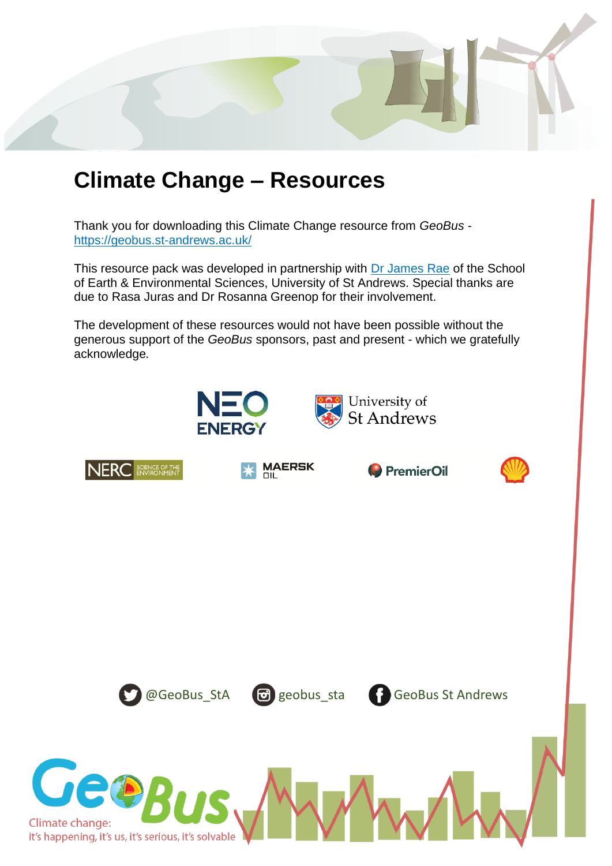

# **Climate Change – Resources**

Thank you for downloading this Climate Change resource from *GeoBus* <https://geobus.st-andrews.ac.uk/>

This resource pack was developed in partnership with [Dr James Rae](https://www.jameswbrae.com/) of the School of Earth & Environmental Sciences, University of St Andrews. Special thanks are due to Rasa Juras and Dr Rosanna Greenop for their involvement.

The development of these resources would not have been possible without the generous support of the *GeoBus* sponsors, past and present - which we gratefully acknowledge.



















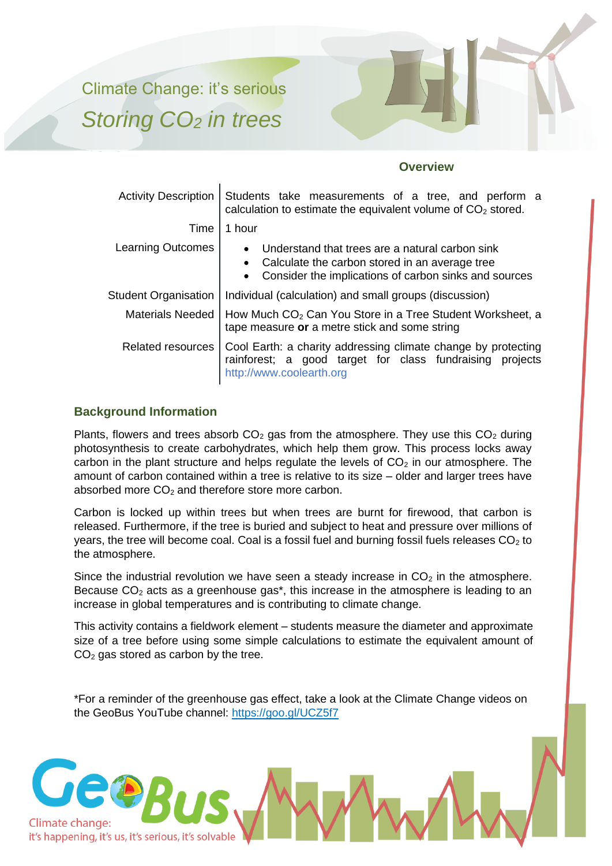Climate Change: it's serious *Storing CO<sup>2</sup> in trees*



## **Overview**

| <b>Activity Description</b> | Students take measurements of a tree, and perform a<br>calculation to estimate the equivalent volume of CO <sub>2</sub> stored.                                                                   |  |
|-----------------------------|---------------------------------------------------------------------------------------------------------------------------------------------------------------------------------------------------|--|
| Time                        | 1 hour                                                                                                                                                                                            |  |
| <b>Learning Outcomes</b>    | Understand that trees are a natural carbon sink<br>$\bullet$<br>Calculate the carbon stored in an average tree<br>$\bullet$<br>Consider the implications of carbon sinks and sources<br>$\bullet$ |  |
| <b>Student Organisation</b> | Individual (calculation) and small groups (discussion)                                                                                                                                            |  |
| <b>Materials Needed</b>     | How Much CO <sub>2</sub> Can You Store in a Tree Student Worksheet, a<br>tape measure or a metre stick and some string                                                                            |  |
| <b>Related resources</b>    | Cool Earth: a charity addressing climate change by protecting<br>rainforest; a good target for class fundraising projects<br>http://www.coolearth.org                                             |  |

## **Background Information**

Plants, flowers and trees absorb  $CO<sub>2</sub>$  gas from the atmosphere. They use this  $CO<sub>2</sub>$  during photosynthesis to create carbohydrates, which help them grow. This process locks away carbon in the plant structure and helps regulate the levels of  $CO<sub>2</sub>$  in our atmosphere. The amount of carbon contained within a tree is relative to its size – older and larger trees have absorbed more  $CO<sub>2</sub>$  and therefore store more carbon.

Carbon is locked up within trees but when trees are burnt for firewood, that carbon is released. Furthermore, if the tree is buried and subject to heat and pressure over millions of years, the tree will become coal. Coal is a fossil fuel and burning fossil fuels releases  $CO<sub>2</sub>$  to the atmosphere.

Since the industrial revolution we have seen a steady increase in  $CO<sub>2</sub>$  in the atmosphere. Because  $CO<sub>2</sub>$  acts as a greenhouse gas<sup>\*</sup>, this increase in the atmosphere is leading to an increase in global temperatures and is contributing to climate change.

This activity contains a fieldwork element – students measure the diameter and approximate size of a tree before using some simple calculations to estimate the equivalent amount of  $CO<sub>2</sub>$  gas stored as carbon by the tree.

\*For a reminder of the greenhouse gas effect, take a look at the Climate Change videos on the GeoBus YouTube channel: https://goo.gl/UCZ5f7

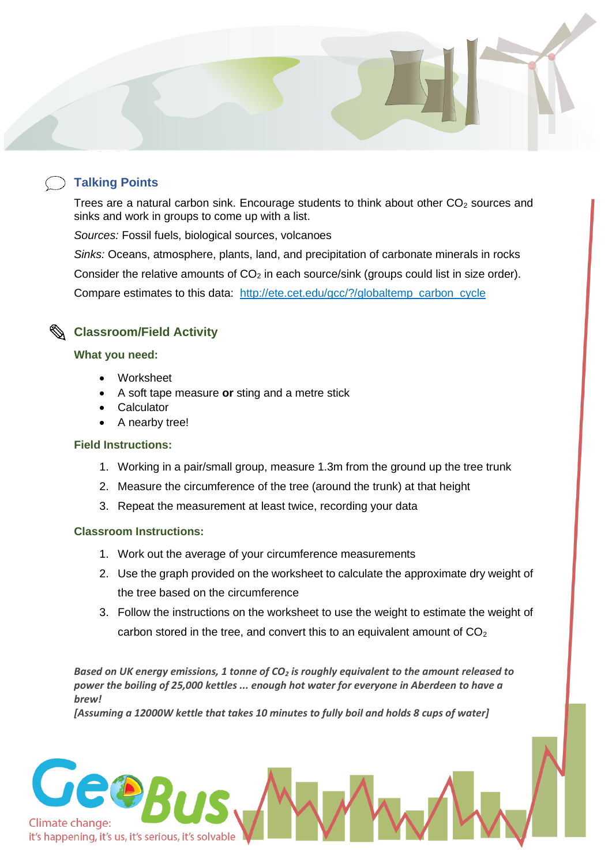## **Talking Points**

Trees are a natural carbon sink. Encourage students to think about other  $CO<sub>2</sub>$  sources and sinks and work in groups to come up with a list.

*Sources:* Fossil fuels, biological sources, volcanoes

*Sinks:* Oceans, atmosphere, plants, land, and precipitation of carbonate minerals in rocks Consider the relative amounts of  $CO<sub>2</sub>$  in each source/sink (groups could list in size order). Compare estimates to this data: [http://ete.cet.edu/gcc/?/globaltemp\\_carbon\\_cycle](http://ete.cet.edu/gcc/?/globaltemp_carbon_cycle/)



## **What you need:**

- Worksheet
- A soft tape measure **or** sting and a metre stick
- **Calculator**
- A nearby tree!

## **Field Instructions:**

- 1. Working in a pair/small group, measure 1.3m from the ground up the tree trunk
- 2. Measure the circumference of the tree (around the trunk) at that height
- 3. Repeat the measurement at least twice, recording your data

## **Classroom Instructions:**

- 1. Work out the average of your circumference measurements
- 2. Use the graph provided on the worksheet to calculate the approximate dry weight of the tree based on the circumference
- 3. Follow the instructions on the worksheet to use the weight to estimate the weight of carbon stored in the tree, and convert this to an equivalent amount of  $CO<sub>2</sub>$

*Based on UK energy emissions, 1 tonne of CO<sup>2</sup> is roughly equivalent to the amount released to power the boiling of 25,000 kettles ... enough hot water for everyone in Aberdeen to have a brew!*

*[Assuming a 12000W kettle that takes 10 minutes to fully boil and holds 8 cups of water]*

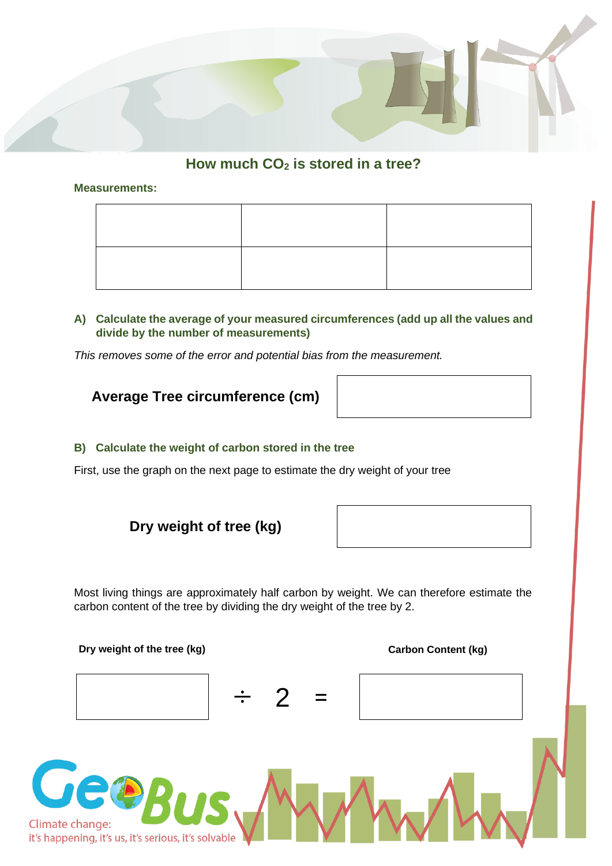

## **How much CO<sup>2</sup> is stored in a tree?**

### **Measurements:**

## **A) Calculate the average of your measured circumferences (add up all the values and divide by the number of measurements)**

*This removes some of the error and potential bias from the measurement.*

## **Average Tree circumference (cm)**



First, use the graph on the next page to estimate the dry weight of your tree



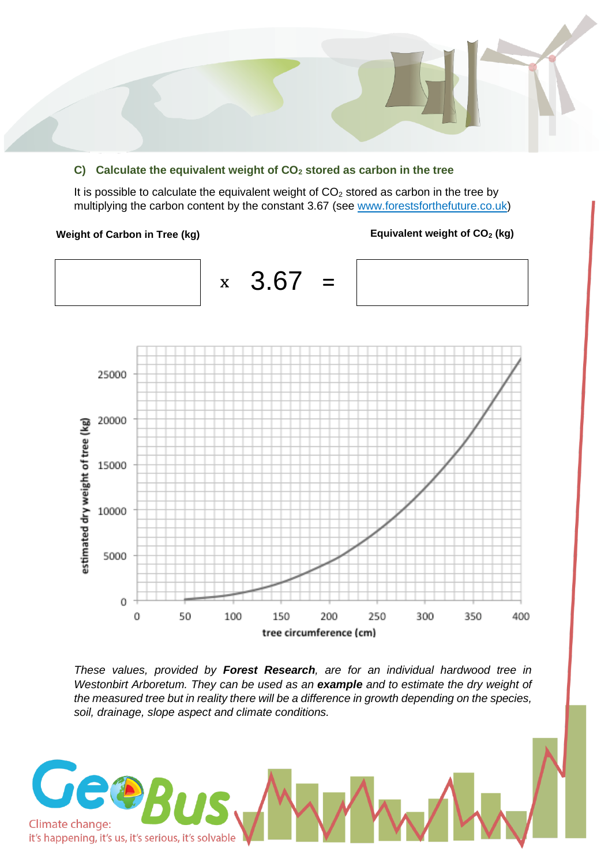## **C) Calculate the equivalent weight of CO<sup>2</sup> stored as carbon in the tree**

It is possible to calculate the equivalent weight of  $CO<sub>2</sub>$  stored as carbon in the tree by multiplying the carbon content by the constant 3.67 (see www.forestsforthefuture.co.uk)

#### **Weight of Carbon in Tree (kg) Equivalent weight of CO<sup>2</sup> (kg)**



*These values, provided by Forest Research, are for an individual hardwood tree in Westonbirt Arboretum. They can be used as an example and to estimate the dry weight of the measured tree but in reality there will be a difference in growth depending on the species, soil, drainage, slope aspect and climate conditions.*

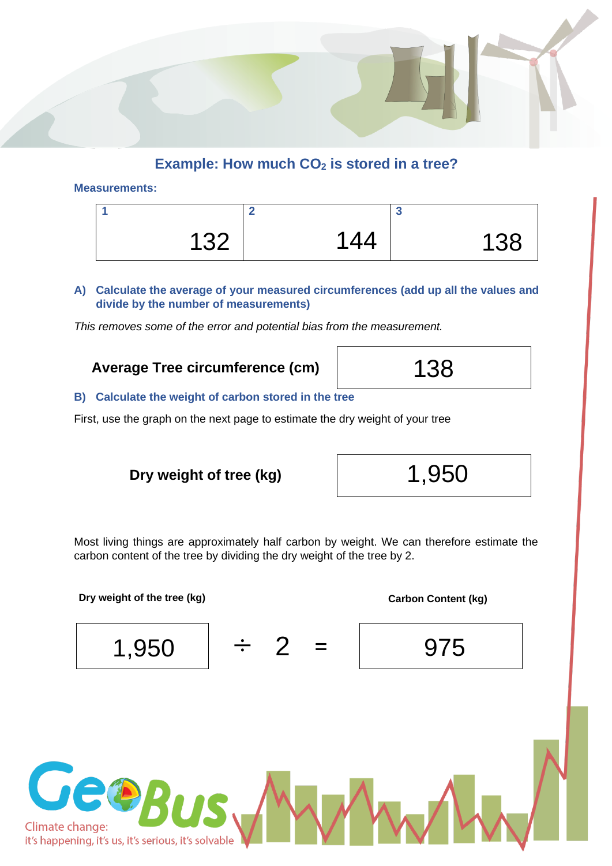

### **Measurements:**

| イマク<br>◡∠ | 144 | 138 |
|-----------|-----|-----|

**A) Calculate the average of your measured circumferences (add up all the values and divide by the number of measurements)**

*This removes some of the error and potential bias from the measurement.*

## **Average Tree circumference (cm)**

## **B) Calculate the weight of carbon stored in the tree**

First, use the graph on the next page to estimate the dry weight of your tree

**Dry weight of tree (kg)** 1,950



Most living things are approximately half carbon by weight. We can therefore estimate the carbon content of the tree by dividing the dry weight of the tree by 2.